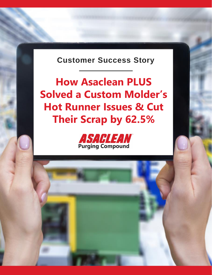**Customer Success Story**

**How Asaclean PLUS Solved a Custom Molder's Hot Runner Issues & Cut Their Scrap by 62.5%**

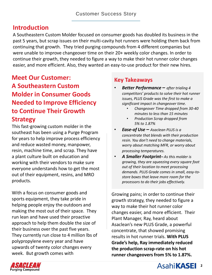### **Introduction**

A Southeastern Custom Molder focused on consumer goods has doubled its business in the past 5 years, but scrap issues on their multi-cavity hot runners were holding them back from continuing that growth. They tried purging compounds from 4 different companies but were unable to improve changeover time on their 20+ weekly color changes. In order to continue their growth, they needed to figure a way to make their hot runner color changes easier, and more efficient. Also, they wanted an easy-to-use product for their new hires.

# **Meet Our Customer: A Southeastern Custom Molder in Consumer Goods Needed to Improve Efficiency to Continue Their Growth Strategy**

This fast-growing custom molder in the southeast has been using a Purge Program for years to help improve process efficiency and reduce wasted money, manpower, resin, machine time, and scrap. They have a plant culture built on education and working with their vendors to make sure everyone understands how to get the most out of their equipment, resins, and MRO products.

With a focus on consumer goods and sports equipment, they take pride in helping people enjoy the outdoors and making the most out of their space. They run lean and have used their proactive approach to help them double the size of their business over the past five years. They currently run close to 4 million lbs of polypropylene every year and have upwards of twenty color changes every week. But growth comes with

#### **Key Takeaways**

- *Better Performance – after trialing 4 competitors' products to solve their hot runner issues, PLUS Grade was the first to make a significant impact in changeover time.*
	- *Changeover Time dropped from 30-40 minutes to less than 15 minutes*
	- *Production Scrap dropped from 5% to 1.87%*
- *Ease-of Use – Asaclean PLUS is a concentrate that blends with their production resin. You don't need to change materials, worry about matching MFR, or worry about processing temperatures.*
- *A Smaller Footprint– As this molder is growing, they are squeezing every square foot out of their location to meet processing demands. PLUS Grade comes in small, easy-tostore boxes that leave more room for the processors to do their jobs effectively.*

Growing pains; in order to continue their growth strategy, they needed to figure a way to make their hot runner color changes easier, and more efficient. Their Plant Manager, Ray, heard about Asaclean's new PLUS Grade, a powerful concentrate, that showed promising results in hot runner trials. **With PLUS Grade's help, Ray immediately reduced the production scrap-rate on his hot runner changeovers from 5% to 1.87%.**

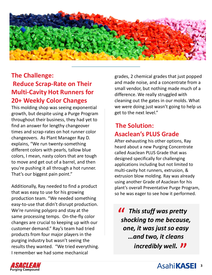

# **The Challenge: Reduce Scrap-Rate on Their Multi-Cavity Hot Runners for 20+ Weekly Color Changes**

This molding shop was seeing exponential growth, but despite using a Purge Program throughout their business, they had yet to find an answer for lengthy changeover times and scrap-rates on hot runner color changeovers. As Plant Manager Ray D. explains, "We run twenty-something different colors with pearls, tallow blue colors, I mean, nasty colors that are tough to move and get out of a barrel, and then you're pushing it all through a hot runner. That's our biggest pain point."

Additionally, Ray needed to find a product that was easy to use for his growing production team. "We needed something easy-to-use that didn't disrupt production. We're running polypro and stay at the same processing temps. On-the-fly color changes are crucial to keeping up with our customer demand." Ray's team had tried products from four major players in the purging industry but wasn't seeing the results they wanted. "We tried everything. I remember we had some mechanical

grades, 2 chemical grades that just popped and made noise, and a concentrate from a small vendor, but nothing made much of a difference. We really struggled with cleaning out the gates in our molds. What we were doing just wasn't going to help us get to the next level."

## **The Solution: Asaclean's PLUS Grade**

After exhausting his other options, Ray heard about a new Purging Concentrate called Asaclean PLUS Grade that was designed specifically for challenging applications including but not limited to multi-cavity hot runners, extrusion, & extrusion blow molding. Ray was already using another Grade of Asaclean for his plant's overall Preventative Purge Program, so he was eager to see how it performed.

**11** This stuff was pretty shocking to me because *shocking to me because, one, it was just so easy …and two, it cleans incredibly well.* **"**

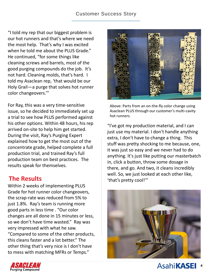#### Customer Success Story

"I told my rep that our biggest problem is our hot runners and that's where we need the most help. That's why I was excited when he told me about the PLUS Grade." He continued, "for some things like cleaning screws and barrels, most of the good purging compounds do the job. It's not hard. Cleaning molds, that's hard. I told my Asaclean rep, 'that would be our Holy Grail—a purge that solves hot runner color changeovers.'"

For Ray, this was a very time-sensitive issue, so he decided to immediately set up a trial to see how PLUS performed against his other options. Within 48 hours, his rep arrived on-site to help him get started. During the visit, Ray's Purging Expert explained how to get the most out of the concentrate grade, helped complete a full production trial, and trained Ray's full production team on best practices. The results speak for themselves.

### **The Results**

Within 2 weeks of implementing PLUS Grade for hot runner color changeovers, the scrap-rate was reduced from 5% to just 1.8%. Ray's team is running more good parts in less time . "Our color changes are all done in 15 minutes or less, so we don't have time wasted." Ray was very impressed with what he saw. "Compared to some of the other products, this cleans faster and a lot better." The other thing that's very nice is I don't have to mess with matching MFRs or Temps."



Above: Parts from an on-the-fly color change using Asaclean PLUS through our customer's multi-cavity hot runners.

"I've got my production material, and I can just use my material. I don't handle anything extra, I don't have to change a thing. This stuff was pretty shocking to me because, one, it was just so easy and we never had to do anything. It's just like putting our masterbatch in, click a button, throw some dosage in there, and go. And two, it cleans incredibly well. So, we just looked at each other like, 'that's pretty cool!'"



**4**

**AsahiKASEI**